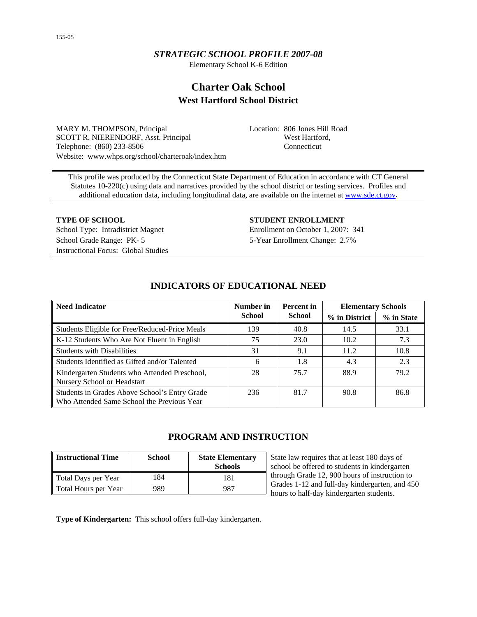## *STRATEGIC SCHOOL PROFILE 2007-08*

Elementary School K-6 Edition

# **Charter Oak School West Hartford School District**

MARY M. THOMPSON, Principal SCOTT R. NIERENDORF, Asst. Principal Telephone: (860) 233-8506 Website: www.whps.org/school/charteroak/index.htm Location: 806 Jones Hill Road West Hartford, Connecticut

This profile was produced by the Connecticut State Department of Education in accordance with CT General Statutes 10-220(c) using data and narratives provided by the school district or testing services. Profiles and additional education data, including longitudinal data, are available on the internet at [www.sde.ct.gov.](http://www.sde.ct.gov/)

School Type: Intradistrict Magnet Enrollment on October 1, 2007: 341 School Grade Range: PK- 5 5-Year Enrollment Change: 2.7% Instructional Focus: Global Studies

## **TYPE OF SCHOOL STUDENT ENROLLMENT**

| <b>Need Indicator</b>                                                                       | Number in     | <b>Percent</b> in | <b>Elementary Schools</b> |            |
|---------------------------------------------------------------------------------------------|---------------|-------------------|---------------------------|------------|
|                                                                                             | <b>School</b> | <b>School</b>     | % in District             | % in State |
| Students Eligible for Free/Reduced-Price Meals                                              | 139           | 40.8              | 14.5                      | 33.1       |
| K-12 Students Who Are Not Fluent in English                                                 | 75            | 23.0              | 10.2                      | 7.3        |
| <b>Students with Disabilities</b>                                                           | 31            | 9.1               | 11.2                      | 10.8       |
| Students Identified as Gifted and/or Talented                                               | 6             | 1.8               | 4.3                       | 2.3        |
| Kindergarten Students who Attended Preschool,<br>Nursery School or Headstart                | 28            | 75.7              | 88.9                      | 79.2       |
| Students in Grades Above School's Entry Grade<br>Who Attended Same School the Previous Year | 236           | 81.7              | 90.8                      | 86.8       |

## **INDICATORS OF EDUCATIONAL NEED**

## **PROGRAM AND INSTRUCTION**

| <b>Instructional Time</b> | <b>School</b> | <b>State Elementary</b><br><b>Schools</b> |
|---------------------------|---------------|-------------------------------------------|
| Total Days per Year       | 184           | 181                                       |
| Total Hours per Year      | 989           | 987                                       |

State law requires that at least 180 days of school be offered to students in kindergarten through Grade 12, 900 hours of instruction to Grades 1-12 and full-day kindergarten, and 450 hours to half-day kindergarten students.

**Type of Kindergarten:** This school offers full-day kindergarten.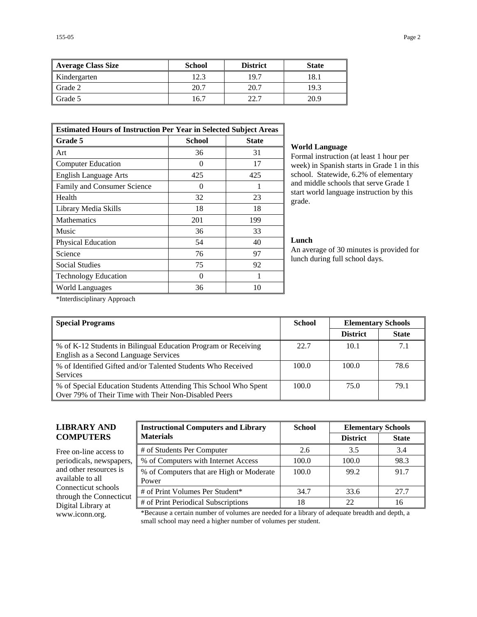| Average Class Size | <b>School</b> | <b>District</b> | <b>State</b> |
|--------------------|---------------|-----------------|--------------|
| Kindergarten       | 12.3          | 19.7            | 18.1         |
| Grade 2            | 20.7          | 20.7            | 19.3         |
| Grade 5            | 16.7          | 22.7            | 20.9         |

| <b>Estimated Hours of Instruction Per Year in Selected Subject Areas</b> |     |     |  |  |  |  |
|--------------------------------------------------------------------------|-----|-----|--|--|--|--|
| Grade 5<br><b>School</b><br><b>State</b>                                 |     |     |  |  |  |  |
| Art                                                                      | 36  | 31  |  |  |  |  |
| <b>Computer Education</b>                                                | 0   | 17  |  |  |  |  |
| <b>English Language Arts</b>                                             | 425 | 425 |  |  |  |  |
| Family and Consumer Science                                              | 0   |     |  |  |  |  |
| Health                                                                   | 32  | 23  |  |  |  |  |
| Library Media Skills                                                     | 18  | 18  |  |  |  |  |
| <b>Mathematics</b>                                                       | 201 | 199 |  |  |  |  |
| Music                                                                    | 36  | 33  |  |  |  |  |
| Physical Education                                                       | 54  | 40  |  |  |  |  |
| Science                                                                  | 76  | 97  |  |  |  |  |
| <b>Social Studies</b>                                                    | 75  | 92  |  |  |  |  |
| <b>Technology Education</b>                                              | 0   |     |  |  |  |  |
| World Languages                                                          | 36  | 10  |  |  |  |  |

#### **World Language**

Formal instruction (at least 1 hour per week) in Spanish starts in Grade 1 in this school. Statewide, 6.2% of elementary and middle schools that serve Grade 1 start world language instruction by this grade.

#### **Lunch**

An average of 30 minutes is provided for lunch during full school days.

\*Interdisciplinary Approach

| <b>Special Programs</b>                                                                                                 | <b>School</b> | <b>Elementary Schools</b> |              |
|-------------------------------------------------------------------------------------------------------------------------|---------------|---------------------------|--------------|
|                                                                                                                         |               | <b>District</b>           | <b>State</b> |
| % of K-12 Students in Bilingual Education Program or Receiving<br>English as a Second Language Services                 | 22.7          | 10.1                      | 7.1          |
| % of Identified Gifted and/or Talented Students Who Received<br><b>Services</b>                                         | 100.0         | 100.0                     | 78.6         |
| % of Special Education Students Attending This School Who Spent<br>Over 79% of Their Time with Their Non-Disabled Peers | 100.0         | 75.0                      | 79.1         |

## **LIBRARY AND COMPUTERS**

Free on-line access to periodicals, newspapers, and other resources is available to all Connecticut schools through the Connecticut Digital Library at

| <b>Instructional Computers and Library</b>        | <b>School</b> | <b>Elementary Schools</b> |              |  |
|---------------------------------------------------|---------------|---------------------------|--------------|--|
| <b>Materials</b>                                  |               | <b>District</b>           | <b>State</b> |  |
| # of Students Per Computer                        | 2.6           | 3.5                       | 3.4          |  |
| % of Computers with Internet Access               | 100.0         | 100.0                     | 98.3         |  |
| % of Computers that are High or Moderate<br>Power | 100.0         | 99.2                      | 91.7         |  |
| # of Print Volumes Per Student*                   | 34.7          | 33.6                      | 27.7         |  |
| # of Print Periodical Subscriptions               | 18            | 22                        | 16           |  |

www.iconn.org. \*Because a certain number of volumes are needed for a library of adequate breadth and depth, a small school may need a higher number of volumes per student.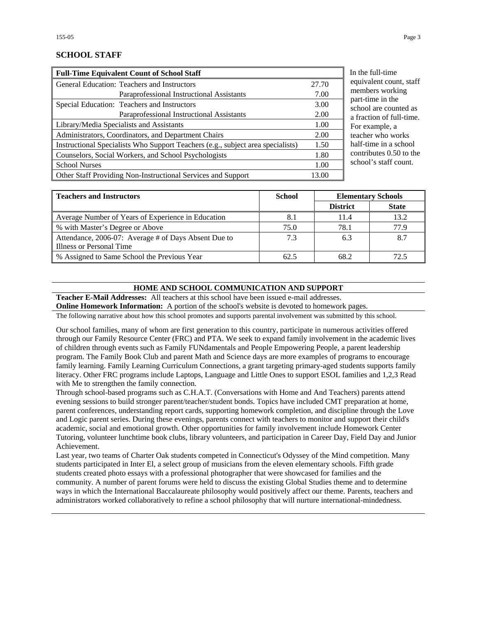#### **SCHOOL STAFF**

| <b>Full-Time Equivalent Count of School Staff</b>                               |       |
|---------------------------------------------------------------------------------|-------|
| General Education: Teachers and Instructors                                     | 27.70 |
| Paraprofessional Instructional Assistants                                       | 7.00  |
| Special Education: Teachers and Instructors                                     | 3.00  |
| Paraprofessional Instructional Assistants                                       | 2.00  |
| Library/Media Specialists and Assistants                                        | 1.00  |
| Administrators, Coordinators, and Department Chairs                             | 2.00  |
| Instructional Specialists Who Support Teachers (e.g., subject area specialists) | 1.50  |
| Counselors, Social Workers, and School Psychologists                            | 1.80  |
| <b>School Nurses</b>                                                            | 1.00  |
| Other Staff Providing Non-Instructional Services and Support                    | 13.00 |

the full-time uivalent count, staff embers working rt-time in the hool are counted as raction of full-time. or example, a acher who works delectime in a school ntributes  $0.50$  to the hool's staff count.

| <b>Teachers and Instructors</b>                      | <b>School</b><br><b>Elementary Schools</b> |                 |              |
|------------------------------------------------------|--------------------------------------------|-----------------|--------------|
|                                                      |                                            | <b>District</b> | <b>State</b> |
| Average Number of Years of Experience in Education   | 8.1                                        | 11.4            | 13.2         |
| % with Master's Degree or Above                      | 75.0                                       | 78.1            | 77.9         |
| Attendance, 2006-07: Average # of Days Absent Due to | 7.3                                        | 6.3             | 8.7          |
| Illness or Personal Time                             |                                            |                 |              |
| % Assigned to Same School the Previous Year          | 62.5                                       | 68.2            | 72.5         |

#### **HOME AND SCHOOL COMMUNICATION AND SUPPORT**

**Teacher E-Mail Addresses:** All teachers at this school have been issued e-mail addresses.

**Online Homework Information:** A portion of the school's website is devoted to homework pages.

The following narrative about how this school promotes and supports parental involvement was submitted by this school.

Our school families, many of whom are first generation to this country, participate in numerous activities offered through our Family Resource Center (FRC) and PTA. We seek to expand family involvement in the academic lives of children through events such as Family FUNdamentals and People Empowering People, a parent leadership program. The Family Book Club and parent Math and Science days are more examples of programs to encourage family learning. Family Learning Curriculum Connections, a grant targeting primary-aged students supports family literacy. Other FRC programs include Laptops, Language and Little Ones to support ESOL families and 1,2,3 Read with Me to strengthen the family connection.

Through school-based programs such as C.H.A.T. (Conversations with Home and And Teachers) parents attend evening sessions to build stronger parent/teacher/student bonds. Topics have included CMT preparation at home, parent conferences, understanding report cards, supporting homework completion, and discipline through the Love and Logic parent series. During these evenings, parents connect with teachers to monitor and support their child's academic, social and emotional growth. Other opportunities for family involvement include Homework Center Tutoring, volunteer lunchtime book clubs, library volunteers, and participation in Career Day, Field Day and Junior Achievement.

Last year, two teams of Charter Oak students competed in Connecticut's Odyssey of the Mind competition. Many students participated in Inter El, a select group of musicians from the eleven elementary schools. Fifth grade students created photo essays with a professional photographer that were showcased for families and the community. A number of parent forums were held to discuss the existing Global Studies theme and to determine ways in which the International Baccalaureate philosophy would positively affect our theme. Parents, teachers and administrators worked collaboratively to refine a school philosophy that will nurture international-mindedness.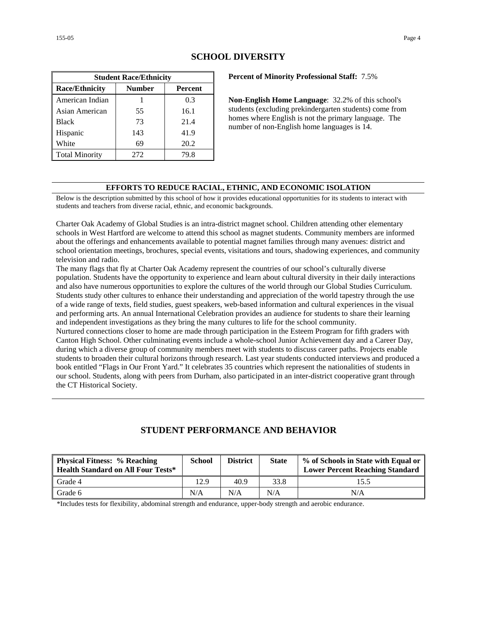| <b>Student Race/Ethnicity</b>                     |     |      |  |  |  |  |
|---------------------------------------------------|-----|------|--|--|--|--|
| <b>Number</b><br><b>Race/Ethnicity</b><br>Percent |     |      |  |  |  |  |
| American Indian                                   |     | 0.3  |  |  |  |  |
| Asian American                                    | 55  | 16.1 |  |  |  |  |
| <b>Black</b>                                      | 73  | 21.4 |  |  |  |  |
| Hispanic                                          | 143 | 41.9 |  |  |  |  |
| White                                             | 69  | 20.2 |  |  |  |  |
| <b>Total Minority</b>                             | 272 | 79.8 |  |  |  |  |

### **SCHOOL DIVERSITY**

**Percent of Minority Professional Staff:** 7.5%

**Non-English Home Language**: 32.2% of this school's students (excluding prekindergarten students) come from homes where English is not the primary language. The number of non-English home languages is 14.

#### **EFFORTS TO REDUCE RACIAL, ETHNIC, AND ECONOMIC ISOLATION**

Below is the description submitted by this school of how it provides educational opportunities for its students to interact with students and teachers from diverse racial, ethnic, and economic backgrounds.

Charter Oak Academy of Global Studies is an intra-district magnet school. Children attending other elementary schools in West Hartford are welcome to attend this school as magnet students. Community members are informed about the offerings and enhancements available to potential magnet families through many avenues: district and school orientation meetings, brochures, special events, visitations and tours, shadowing experiences, and community television and radio.

The many flags that fly at Charter Oak Academy represent the countries of our school's culturally diverse population. Students have the opportunity to experience and learn about cultural diversity in their daily interactions and also have numerous opportunities to explore the cultures of the world through our Global Studies Curriculum. Students study other cultures to enhance their understanding and appreciation of the world tapestry through the use of a wide range of texts, field studies, guest speakers, web-based information and cultural experiences in the visual and performing arts. An annual International Celebration provides an audience for students to share their learning and independent investigations as they bring the many cultures to life for the school community.

Nurtured connections closer to home are made through participation in the Esteem Program for fifth graders with Canton High School. Other culminating events include a whole-school Junior Achievement day and a Career Day, during which a diverse group of community members meet with students to discuss career paths. Projects enable students to broaden their cultural horizons through research. Last year students conducted interviews and produced a book entitled "Flags in Our Front Yard." It celebrates 35 countries which represent the nationalities of students in our school. Students, along with peers from Durham, also participated in an inter-district cooperative grant through the CT Historical Society.

## **STUDENT PERFORMANCE AND BEHAVIOR**

| <b>Physical Fitness: % Reaching</b><br><b>Health Standard on All Four Tests*</b> | <b>School</b> | <b>District</b> | <b>State</b> | % of Schools in State with Equal or<br><b>Lower Percent Reaching Standard</b> |
|----------------------------------------------------------------------------------|---------------|-----------------|--------------|-------------------------------------------------------------------------------|
| Grade 4                                                                          | 12.9          | 40.9            | 33.8         | 15.5                                                                          |
| Grade 6                                                                          | N/A           | N/A             | N/A          | N/A                                                                           |

\*Includes tests for flexibility, abdominal strength and endurance, upper-body strength and aerobic endurance.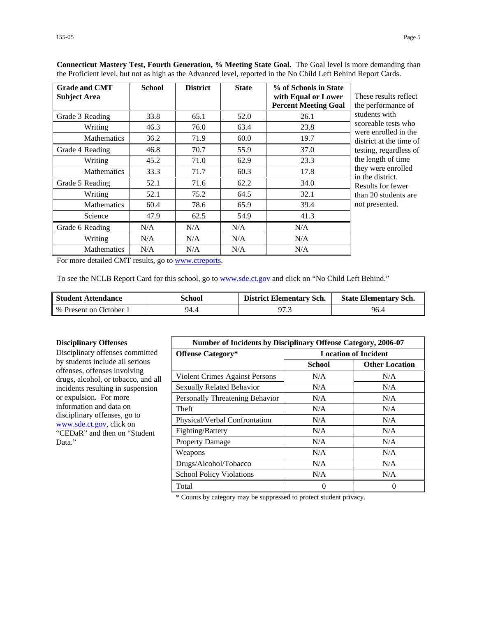| <b>Grade and CMT</b><br><b>Subject Area</b> | <b>School</b> | <b>District</b> | <b>State</b> | % of Schools in State<br>with Equal or Lower<br><b>Percent Meeting Goal</b> | These results reflect<br>the performance of |
|---------------------------------------------|---------------|-----------------|--------------|-----------------------------------------------------------------------------|---------------------------------------------|
| Grade 3 Reading                             | 33.8          | 65.1            | 52.0         | 26.1                                                                        | students with                               |
| Writing                                     | 46.3          | 76.0            | 63.4         | 23.8                                                                        | scoreable tests who<br>were enrolled in the |
| <b>Mathematics</b>                          | 36.2          | 71.9            | 60.0         | 19.7                                                                        | district at the time of                     |
| Grade 4 Reading                             | 46.8          | 70.7            | 55.9         | 37.0                                                                        | testing, regardless of                      |
| Writing                                     | 45.2          | 71.0            | 62.9         | 23.3                                                                        | the length of time                          |
| <b>Mathematics</b>                          | 33.3          | 71.7            | 60.3         | 17.8                                                                        | they were enrolled<br>in the district.      |
| Grade 5 Reading                             | 52.1          | 71.6            | 62.2         | 34.0                                                                        | Results for fewer                           |
| Writing                                     | 52.1          | 75.2            | 64.5         | 32.1                                                                        | than 20 students are                        |
| <b>Mathematics</b>                          | 60.4          | 78.6            | 65.9         | 39.4                                                                        | not presented.                              |
| Science                                     | 47.9          | 62.5            | 54.9         | 41.3                                                                        |                                             |
| Grade 6 Reading                             | N/A           | N/A             | N/A          | N/A                                                                         |                                             |
| Writing                                     | N/A           | N/A             | N/A          | N/A                                                                         |                                             |
| <b>Mathematics</b>                          | N/A           | N/A             | N/A          | N/A                                                                         |                                             |

**Connecticut Mastery Test, Fourth Generation, % Meeting State Goal.** The Goal level is more demanding than the Proficient level, but not as high as the Advanced level, reported in the No Child Left Behind Report Cards.

For more detailed CMT results, go to [www.ctreports.](http://www.ctreports/)

To see the NCLB Report Card for this school, go to [www.sde.ct.gov](http://www.sde.ct.gov/) and click on "No Child Left Behind."

| <b>Student Attendance</b> | School | <b>District Elementary Sch.</b> | <b>State Elementary Sch.</b> |
|---------------------------|--------|---------------------------------|------------------------------|
| % Present on October 1    | 94.4   | 97.3                            | 96.4                         |

#### **Disciplinary Offenses**

Disciplinary offenses committed by students include all serious offenses, offenses involving drugs, alcohol, or tobacco, and all incidents resulting in suspension or expulsion. For more information and data on disciplinary offenses, go to [www.sde.ct.gov,](http://www.sde.ct.gov/) click on "CEDaR" and then on "Student Data."

| Number of Incidents by Disciplinary Offense Category, 2006-07 |                             |                       |
|---------------------------------------------------------------|-----------------------------|-----------------------|
| <b>Offense Category*</b>                                      | <b>Location of Incident</b> |                       |
|                                                               | School                      | <b>Other Location</b> |
| <b>Violent Crimes Against Persons</b>                         | N/A                         | N/A                   |
| <b>Sexually Related Behavior</b>                              | N/A                         | N/A                   |
| Personally Threatening Behavior                               | N/A                         | N/A                   |
| Theft                                                         | N/A                         | N/A                   |
| Physical/Verbal Confrontation                                 | N/A                         | N/A                   |
| Fighting/Battery                                              | N/A                         | N/A                   |
| <b>Property Damage</b>                                        | N/A                         | N/A                   |
| Weapons                                                       | N/A                         | N/A                   |
| Drugs/Alcohol/Tobacco                                         | N/A                         | N/A                   |
| <b>School Policy Violations</b>                               | N/A                         | N/A                   |
| Total                                                         |                             | 0                     |

\* Counts by category may be suppressed to protect student privacy.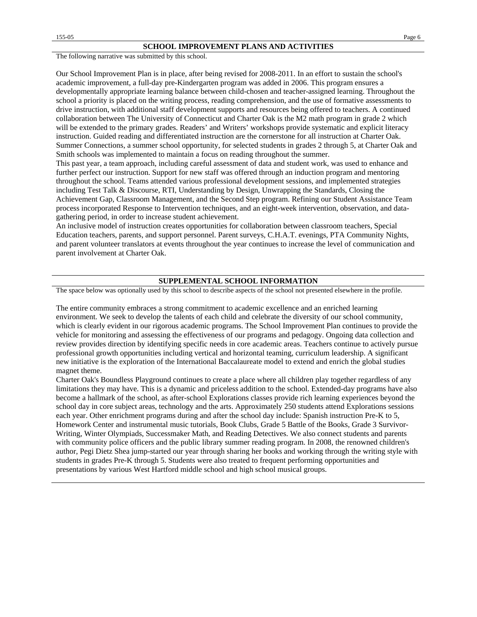The following narrative was submitted by this school.

Our School Improvement Plan is in place, after being revised for 2008-2011. In an effort to sustain the school's academic improvement, a full-day pre-Kindergarten program was added in 2006. This program ensures a developmentally appropriate learning balance between child-chosen and teacher-assigned learning. Throughout the school a priority is placed on the writing process, reading comprehension, and the use of formative assessments to drive instruction, with additional staff development supports and resources being offered to teachers. A continued collaboration between The University of Connecticut and Charter Oak is the M2 math program in grade 2 which will be extended to the primary grades. Readers' and Writers' workshops provide systematic and explicit literacy instruction. Guided reading and differentiated instruction are the cornerstone for all instruction at Charter Oak. Summer Connections, a summer school opportunity, for selected students in grades 2 through 5, at Charter Oak and Smith schools was implemented to maintain a focus on reading throughout the summer.

This past year, a team approach, including careful assessment of data and student work, was used to enhance and further perfect our instruction. Support for new staff was offered through an induction program and mentoring throughout the school. Teams attended various professional development sessions, and implemented strategies including Test Talk & Discourse, RTI, Understanding by Design, Unwrapping the Standards, Closing the Achievement Gap, Classroom Management, and the Second Step program. Refining our Student Assistance Team process incorporated Response to Intervention techniques, and an eight-week intervention, observation, and datagathering period, in order to increase student achievement.

An inclusive model of instruction creates opportunities for collaboration between classroom teachers, Special Education teachers, parents, and support personnel. Parent surveys, C.H.A.T. evenings, PTA Community Nights, and parent volunteer translators at events throughout the year continues to increase the level of communication and parent involvement at Charter Oak.

#### **SUPPLEMENTAL SCHOOL INFORMATION**

The space below was optionally used by this school to describe aspects of the school not presented elsewhere in the profile.

The entire community embraces a strong commitment to academic excellence and an enriched learning environment. We seek to develop the talents of each child and celebrate the diversity of our school community, which is clearly evident in our rigorous academic programs. The School Improvement Plan continues to provide the vehicle for monitoring and assessing the effectiveness of our programs and pedagogy. Ongoing data collection and review provides direction by identifying specific needs in core academic areas. Teachers continue to actively pursue professional growth opportunities including vertical and horizontal teaming, curriculum leadership. A significant new initiative is the exploration of the International Baccalaureate model to extend and enrich the global studies magnet theme.

Charter Oak's Boundless Playground continues to create a place where all children play together regardless of any limitations they may have. This is a dynamic and priceless addition to the school. Extended-day programs have also become a hallmark of the school, as after-school Explorations classes provide rich learning experiences beyond the school day in core subject areas, technology and the arts. Approximately 250 students attend Explorations sessions each year. Other enrichment programs during and after the school day include: Spanish instruction Pre-K to 5, Homework Center and instrumental music tutorials, Book Clubs, Grade 5 Battle of the Books, Grade 3 Survivor-Writing, Winter Olympiads, Successmaker Math, and Reading Detectives. We also connect students and parents with community police officers and the public library summer reading program. In 2008, the renowned children's author, Pegi Dietz Shea jump-started our year through sharing her books and working through the writing style with students in grades Pre-K through 5. Students were also treated to frequent performing opportunities and presentations by various West Hartford middle school and high school musical groups.